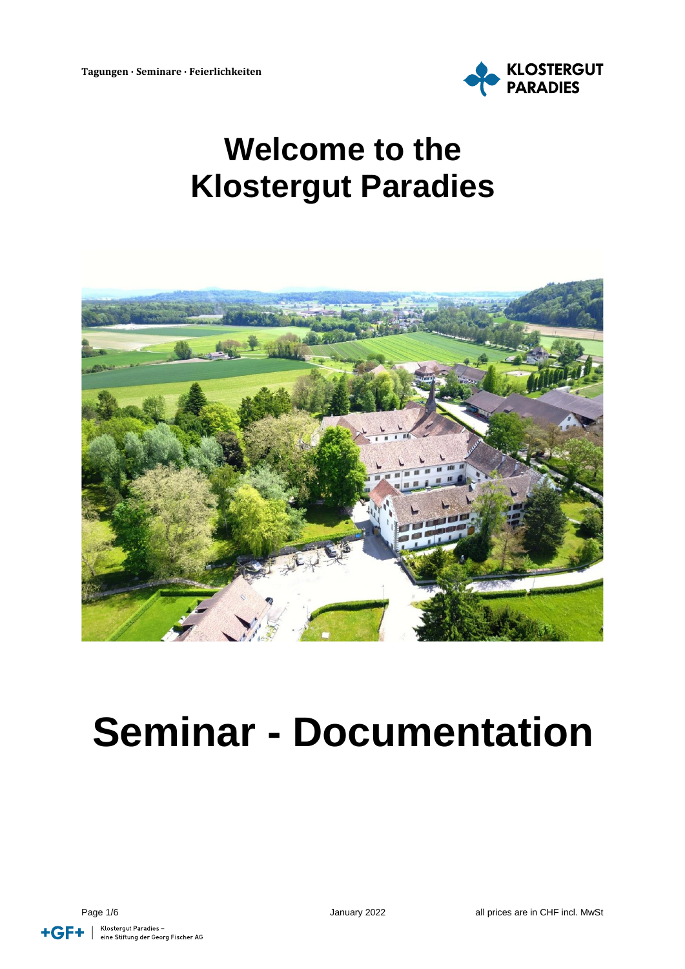

# **Welcome to the Klostergut Paradies**



# **Seminar - Documentation**

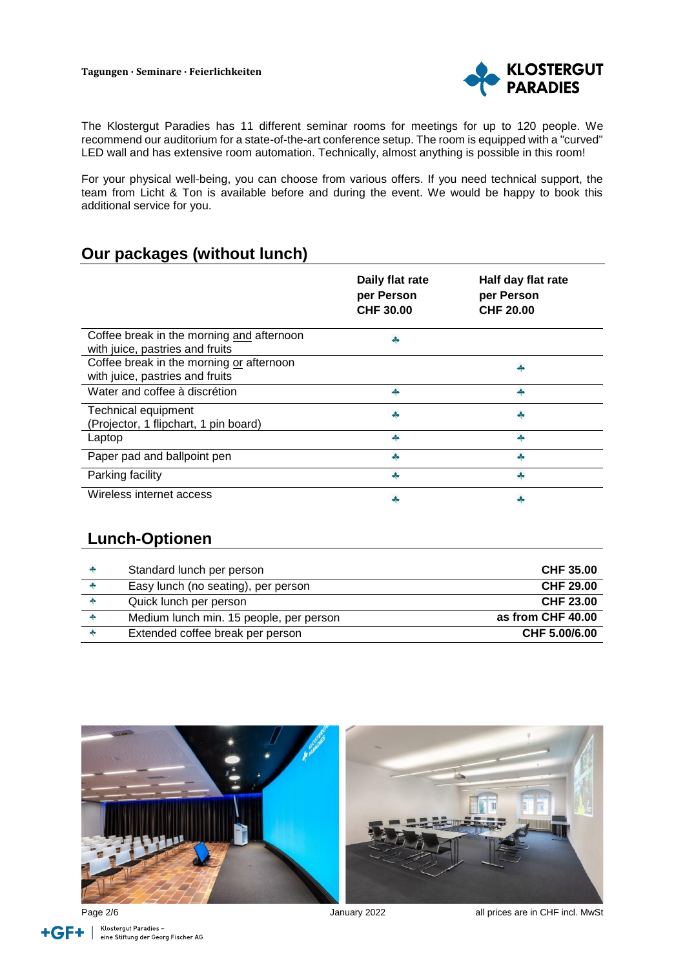

The Klostergut Paradies has 11 different seminar rooms for meetings for up to 120 people. We recommend our auditorium for a state-of-the-art conference setup. The room is equipped with a "curved" LED wall and has extensive room automation. Technically, almost anything is possible in this room!

For your physical well-being, you can choose from various offers. If you need technical support, the team from Licht & Ton is available before and during the event. We would be happy to book this additional service for you.

#### **Our packages (without lunch)**

|                                                                              | Daily flat rate<br>per Person<br><b>CHF 30.00</b> | Half day flat rate<br>per Person<br><b>CHF 20.00</b> |
|------------------------------------------------------------------------------|---------------------------------------------------|------------------------------------------------------|
| Coffee break in the morning and afternoon<br>with juice, pastries and fruits |                                                   |                                                      |
| Coffee break in the morning or afternoon<br>with juice, pastries and fruits  |                                                   |                                                      |
| Water and coffee à discrétion                                                | Ą.                                                | d.                                                   |
| Technical equipment<br>(Projector, 1 flipchart, 1 pin board)                 |                                                   |                                                      |
| Laptop                                                                       |                                                   |                                                      |
| Paper pad and ballpoint pen                                                  |                                                   |                                                      |
| Parking facility                                                             |                                                   |                                                      |
| Wireless internet access                                                     |                                                   |                                                      |

#### **Lunch-Optionen**

| Standard lunch per person               | CHF 35.00         |
|-----------------------------------------|-------------------|
| Easy lunch (no seating), per person     | CHF 29.00         |
| Quick lunch per person                  | CHF 23.00         |
| Medium lunch min. 15 people, per person | as from CHF 40.00 |
| Extended coffee break per person        | CHF 5.00/6.00     |







Page 2/6 **Page 2/6 COVER 2022 all prices are in CHF incl. MwSt**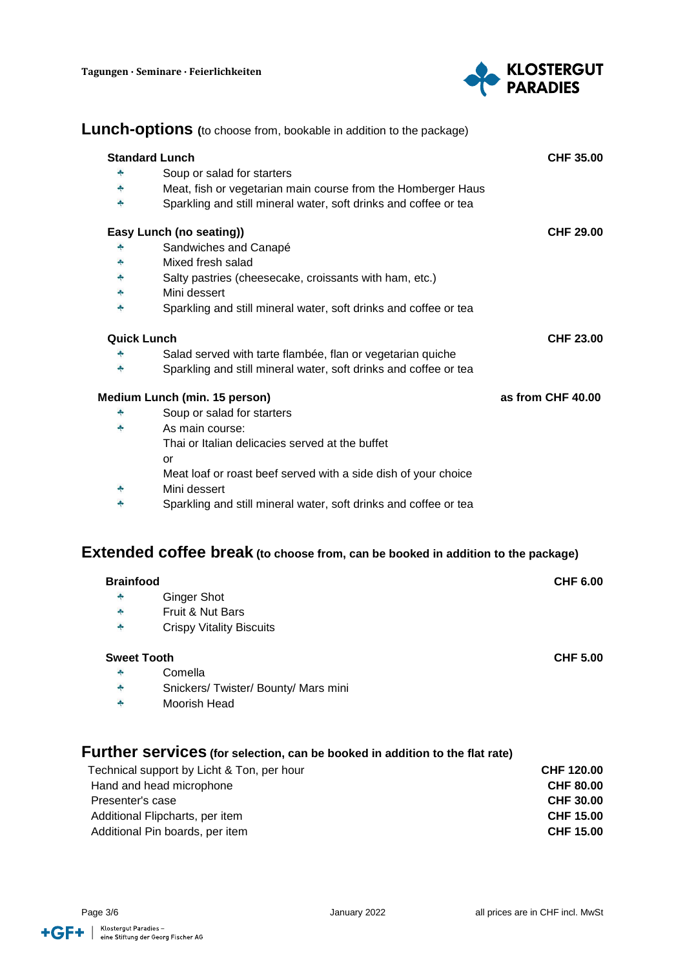

|                                                     | <b>Lunch-options</b> (to choose from, bookable in addition to the package)              |                   |
|-----------------------------------------------------|-----------------------------------------------------------------------------------------|-------------------|
| <b>Standard Lunch</b>                               |                                                                                         | <b>CHF 35.00</b>  |
| 4                                                   | Soup or salad for starters                                                              |                   |
| 4                                                   | Meat, fish or vegetarian main course from the Homberger Haus                            |                   |
| 4                                                   | Sparkling and still mineral water, soft drinks and coffee or tea                        |                   |
|                                                     | Easy Lunch (no seating))                                                                | <b>CHF 29.00</b>  |
|                                                     | Sandwiches and Canapé                                                                   |                   |
| 4                                                   | Mixed fresh salad                                                                       |                   |
| ÷                                                   | Salty pastries (cheesecake, croissants with ham, etc.)                                  |                   |
| ÷                                                   | Mini dessert                                                                            |                   |
| ÷                                                   | Sparkling and still mineral water, soft drinks and coffee or tea                        |                   |
| <b>Quick Lunch</b>                                  |                                                                                         | <b>CHF 23.00</b>  |
| ÷                                                   | Salad served with tarte flambée, flan or vegetarian quiche                              |                   |
| ÷                                                   | Sparkling and still mineral water, soft drinks and coffee or tea                        |                   |
|                                                     | Medium Lunch (min. 15 person)                                                           | as from CHF 40.00 |
|                                                     | Soup or salad for starters                                                              |                   |
| ÷                                                   | As main course:                                                                         |                   |
|                                                     | Thai or Italian delicacies served at the buffet                                         |                   |
|                                                     | or                                                                                      |                   |
|                                                     | Meat loaf or roast beef served with a side dish of your choice                          |                   |
| ÷                                                   | Mini dessert                                                                            |                   |
| ♣                                                   | Sparkling and still mineral water, soft drinks and coffee or tea                        |                   |
|                                                     |                                                                                         |                   |
|                                                     | <b>Extended coffee break</b> (to choose from, can be booked in addition to the package) |                   |
| <b>Brainfood</b>                                    |                                                                                         | <b>CHF 6.00</b>   |
|                                                     | <b>Ginger Shot</b>                                                                      |                   |
|                                                     | Fruit & Nut Bars                                                                        |                   |
|                                                     | <b>Crispy Vitality Biscuits</b>                                                         |                   |
| <b>Sweet Tooth</b>                                  |                                                                                         | <b>CHF 5.00</b>   |
|                                                     | Comella                                                                                 |                   |
| ÷                                                   | Snickers/ Twister/ Bounty/ Mars mini                                                    |                   |
| $\frac{1}{2}$                                       | Moorish Head                                                                            |                   |
|                                                     |                                                                                         |                   |
|                                                     | Further services (for selection, can be booked in addition to the flat rate)            |                   |
|                                                     | Technical support by Licht & Ton, per hour                                              | CHF 120.00        |
| Hand and head microphone                            |                                                                                         | <b>CHF 80.00</b>  |
| Presenter's case                                    |                                                                                         | <b>CHF 30.00</b>  |
| Additional Flipcharts, per item<br><b>CHF 15.00</b> |                                                                                         |                   |
|                                                     | Additional Pin boards, per item                                                         | <b>CHF 15.00</b>  |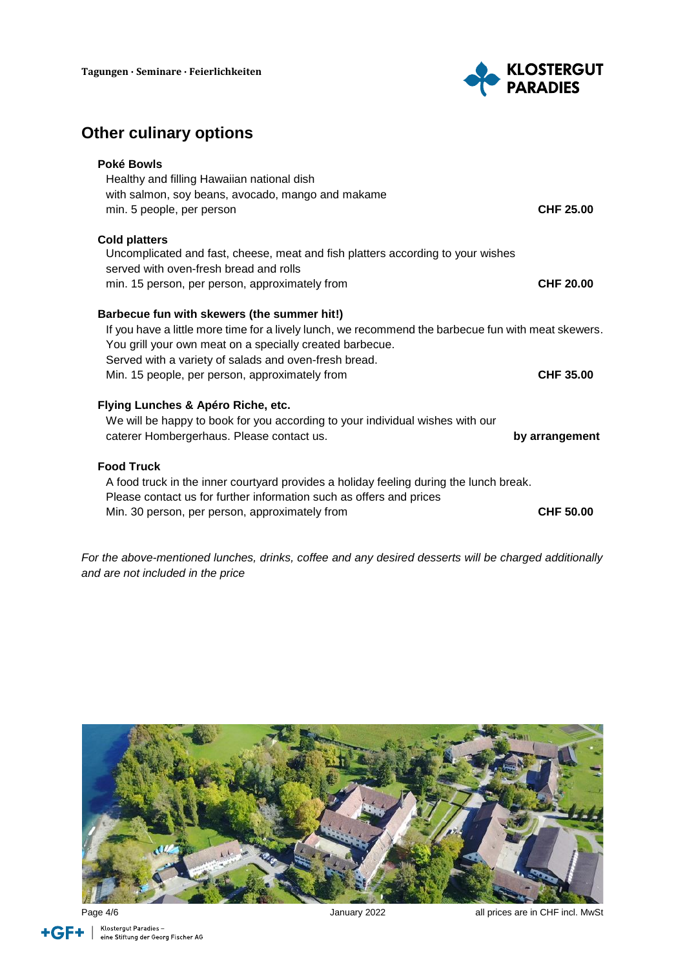

### **Other culinary options**

| Poké Bowls<br>Healthy and filling Hawaiian national dish<br>with salmon, soy beans, avocado, mango and makame<br>min. 5 people, per person                                                                                                                                                                                | CHF 25.00      |
|---------------------------------------------------------------------------------------------------------------------------------------------------------------------------------------------------------------------------------------------------------------------------------------------------------------------------|----------------|
| <b>Cold platters</b><br>Uncomplicated and fast, cheese, meat and fish platters according to your wishes<br>served with oven-fresh bread and rolls<br>min. 15 person, per person, approximately from                                                                                                                       | CHF 20.00      |
| Barbecue fun with skewers (the summer hit!)<br>If you have a little more time for a lively lunch, we recommend the barbecue fun with meat skewers.<br>You grill your own meat on a specially created barbecue.<br>Served with a variety of salads and oven-fresh bread.<br>Min. 15 people, per person, approximately from | CHF 35.00      |
| Flying Lunches & Apéro Riche, etc.<br>We will be happy to book for you according to your individual wishes with our<br>caterer Hombergerhaus. Please contact us.                                                                                                                                                          | by arrangement |
| <b>Food Truck</b><br>A food truck in the inner courtyard provides a holiday feeling during the lunch break.<br>Please contact us for further information such as offers and prices<br>Min. 30 person, per person, approximately from                                                                                      | CHF 50.00      |

*For the above-mentioned lunches, drinks, coffee and any desired desserts will be charged additionally and are not included in the price*



Klostergut Paradies –<br>eine Stiftung der Georg Fischer AG +GF+

Page 4/6 **Page 4/6 and 2022 all prices are in CHF incl. MwSt** January 2022 **and 2022 all prices are in CHF incl. MwSt**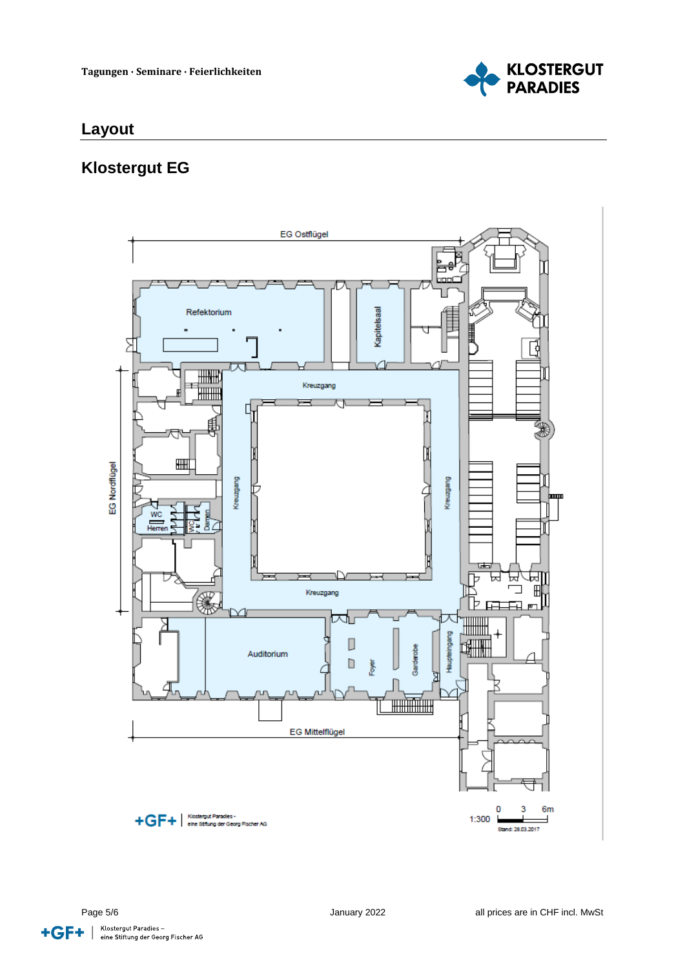

#### **Layout**

### **Klostergut EG**